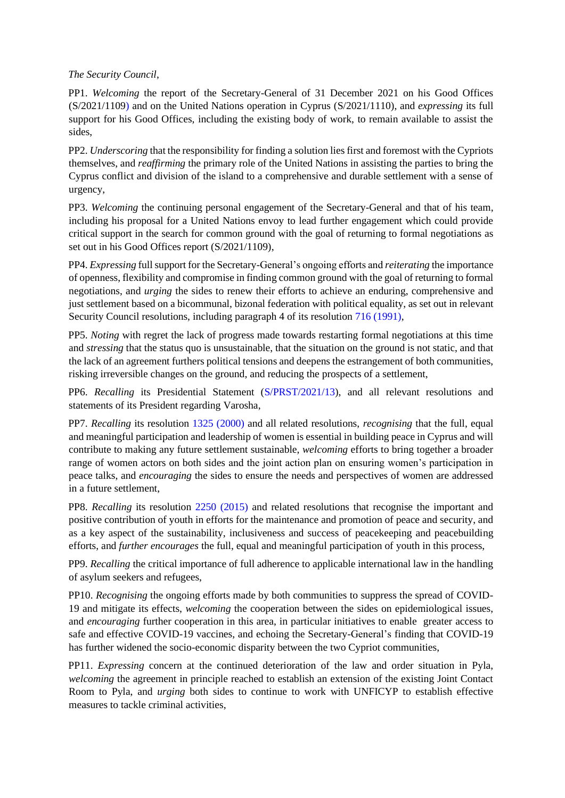## *The Security Council*,

PP1. *Welcoming* the report of the Secretary-General of 31 December 2021 on his Good Offices (S/2021/1109) [a](https://undocs.org/en/S/2021/634)nd on the United Nations operation in Cyprus (S/2021/111[0\),](https://undocs.org/en/S/2021/635) and *expressing* its full support for his Good Offices, including the existing body of work, to remain available to assist the sides,

PP2. *Underscoring* that the responsibility for finding a solution lies first and foremost with the Cypriots themselves, and *reaffirming* the primary role of the United Nations in assisting the parties to bring the Cyprus conflict and division of the island to a comprehensive and durable settlement with a sense of urgency,

PP3. *Welcoming* the continuing personal engagement of the Secretary-General and that of his team, including his proposal for a United Nations envoy to lead further engagement which could provide critical support in the search for common ground with the goal of returning to formal negotiations as set out in his Good Offices report (S/2021/1109),

PP4. *Expressing* full support for the Secretary-General's ongoing efforts and *reiterating* the importance of openness, flexibility and compromise in finding common ground with the goal of returning to formal negotiations, and *urging* the sides to renew their efforts to achieve an enduring, comprehensive and just settlement based on a bicommunal, bizonal federation with political equality, as set out in relevant Security Council resolutions, including paragraph 4 of its resolution [716 \(1991\),](https://undocs.org/en/S/RES/716(1991)) 

PP5. *Noting* with regret the lack of progress made towards restarting formal negotiations at this time and *stressing* that the status quo is unsustainable, that the situation on the ground is not static, and that the lack of an agreement furthers political tensions and deepens the estrangement of both communities, risking irreversible changes on the ground, and reducing the prospects of a settlement,

PP6. *Recalling* its Presidential Statement [\(S/PRST/2021/13\),](https://undocs.org/en/S/PRST/2021/13) and all relevant resolutions and statements of its President regarding Varosha,

PP7. *Recalling* its resolution [1325 \(2000\)](https://undocs.org/en/S/RES/1325(2000)) and all related resolutions, *recognising* that the full, equal and meaningful participation and leadership of women is essential in building peace in Cyprus and will contribute to making any future settlement sustainable, *welcoming* efforts to bring together a broader range of women actors on both sides and the joint action plan on ensuring women's participation in peace talks, and *encouraging* the sides to ensure the needs and perspectives of women are addressed in a future settlement,

PP8. *Recalling* its resolution [2250 \(2015\)](https://undocs.org/en/S/RES/2250(2015)) and related resolutions that recognise the important and positive contribution of youth in efforts for the maintenance and promotion of peace and security, and as a key aspect of the sustainability, inclusiveness and success of peacekeeping and peacebuilding efforts, and *further encourages* the full, equal and meaningful participation of youth in this process,

PP9. *Recalling* the critical importance of full adherence to applicable international law in the handling of asylum seekers and refugees,

PP10. *Recognising* the ongoing efforts made by both communities to suppress the spread of COVID-19 and mitigate its effects, *welcoming* the cooperation between the sides on epidemiological issues, and *encouraging* further cooperation in this area, in particular initiatives to enable greater access to safe and effective COVID-19 vaccines, and echoing the Secretary-General's finding that COVID-19 has further widened the socio-economic disparity between the two Cypriot communities,

PP11. *Expressing* concern at the continued deterioration of the law and order situation in Pyla, *welcoming* the agreement in principle reached to establish an extension of the existing Joint Contact Room to Pyla, and *urging* both sides to continue to work with UNFICYP to establish effective measures to tackle criminal activities,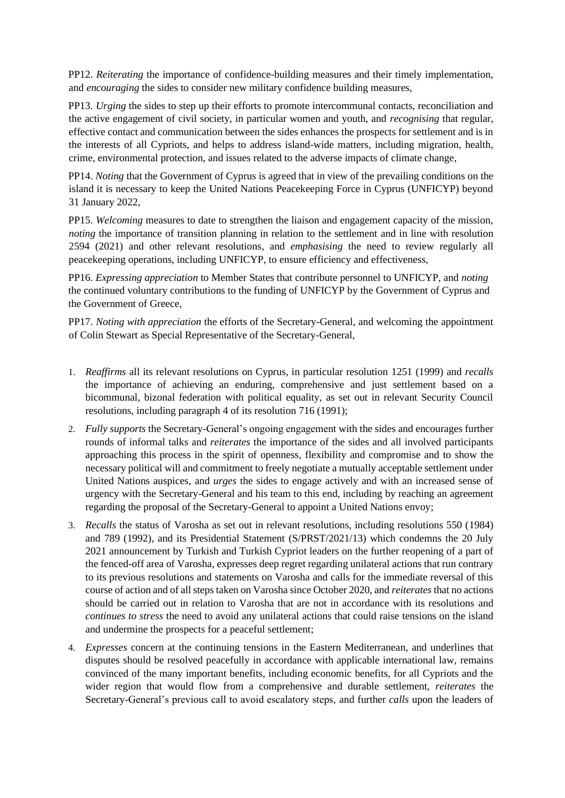PP12. *Reiterating* the importance of confidence-building measures and their timely implementation, and *encouraging* the sides to consider new military confidence building measures,

PP13. *Urging* the sides to step up their efforts to promote intercommunal contacts, reconciliation and the active engagement of civil society, in particular women and youth, and *recognising* that regular, effective contact and communication between the sides enhances the prospects for settlement and is in the interests of all Cypriots, and helps to address island-wide matters, including migration, health, crime, environmental protection, and issues related to the adverse impacts of climate change,

PP14. *Noting* that the Government of Cyprus is agreed that in view of the prevailing conditions on the island it is necessary to keep the United Nations Peacekeeping Force in Cyprus (UNFICYP) beyond 31 January 2022,

PP15. *Welcoming* measures to date to strengthen the liaison and engagement capacity of the mission, *noting* the importance of transition planning in relation to the settlement and in line with resolution 2594 (2021) and other relevant resolutions, and *emphasising* the need to review regularly all peacekeeping operations, including UNFICYP, to ensure efficiency and effectiveness,

PP16*. Expressing appreciation* to Member States that contribute personnel to UNFICYP, and *noting* the continued voluntary contributions to the funding of UNFICYP by the Government of Cyprus and the Government of Greece,

PP17. *Noting with appreciation* the efforts of the Secretary-General, and welcoming the appointment of Colin Stewart as Special Representative of the Secretary-General,

- 1. *Reaffirms* all its relevant resolutions on Cyprus, in particular resolution [1251 \(1999\)](https://undocs.org/en/S/RES/1251(1999)) and *recalls* the importance of achieving an enduring, comprehensive and just settlement based on a bicommunal, bizonal federation with political equality, as set out in relevant Security Council resolutions, including paragraph 4 of its resolution [716 \(1991\);](https://undocs.org/en/S/RES/716(1991))
- 2. *Fully supports* the Secretary-General's ongoing engagement with the sides and encourages further rounds of informal talks and *reiterates* the importance of the sides and all involved participants approaching this process in the spirit of openness, flexibility and compromise and to show the necessary political will and commitment to freely negotiate a mutually acceptable settlement under United Nations auspices, and *urges* the sides to engage actively and with an increased sense of urgency with the Secretary-General and his team to this end, including by reaching an agreement regarding the proposal of the Secretary-General to appoint a United Nations envoy;
- 3. *Recalls* the status of Varosha as set out in relevant resolutions, including resolutions 550 [\(1984\)](https://undocs.org/en/S/RES/550(1984)) and 789 (199[2\),](https://undocs.org/en/S/RES/789(1992)) and its Presidential Statement [\(S/PRST/2021/13\)](https://undocs.org/en/S/PRST/2021/13) which condemns the 20 July 2021 announcement by Turkish and Turkish Cypriot leaders on the further reopening of a part of the fenced-off area of Varosha, expresses deep regret regarding unilateral actions that run contrary to its previous resolutions and statements on Varosha and calls for the immediate reversal of this course of action and of all steps taken on Varosha since October 2020, and *reiterates* that no actions should be carried out in relation to Varosha that are not in accordance with its resolutions and *continues to stress* the need to avoid any unilateral actions that could raise tensions on the island and undermine the prospects for a peaceful settlement;
- 4. *Expresses* concern at the continuing tensions in the Eastern Mediterranean, and underlines that disputes should be resolved peacefully in accordance with applicable international law, remains convinced of the many important benefits, including economic benefits, for all Cypriots and the wider region that would flow from a comprehensive and durable settlement, *reiterates* the Secretary-General's previous call to avoid escalatory steps, and further *calls* upon the leaders of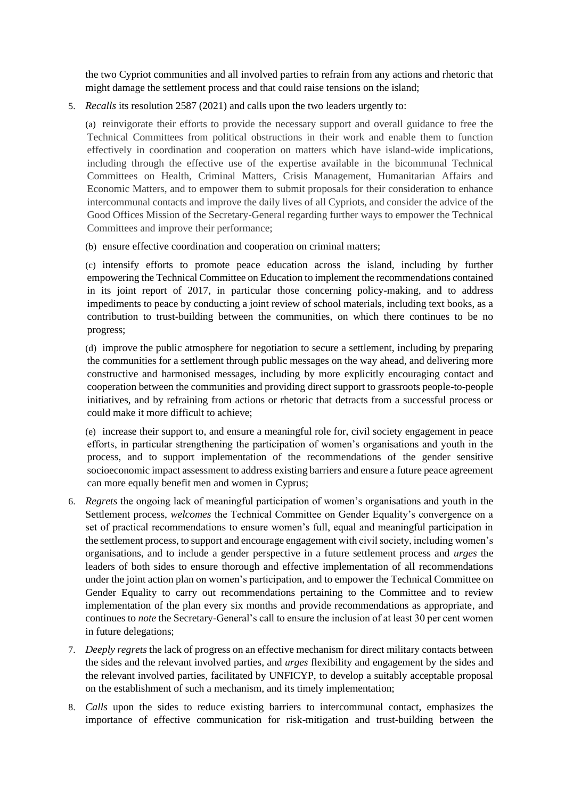the two Cypriot communities and all involved parties to refrain from any actions and rhetoric that might damage the settlement process and that could raise tensions on the island;

5. *Recalls* its resolution 2587 [\(2021\)](https://undocs.org/en/S/RES/2561(2021)) and calls upon the two leaders urgently to:

(a) reinvigorate their efforts to provide the necessary support and overall guidance to free the Technical Committees from political obstructions in their work and enable them to function effectively in coordination and cooperation on matters which have island-wide implications, including through the effective use of the expertise available in the bicommunal Technical Committees on Health, Criminal Matters, Crisis Management, Humanitarian Affairs and Economic Matters, and to empower them to submit proposals for their consideration to enhance intercommunal contacts and improve the daily lives of all Cypriots, and consider the advice of the Good Offices Mission of the Secretary-General regarding further ways to empower the Technical Committees and improve their performance;

(b) ensure effective coordination and cooperation on criminal matters;

(c) intensify efforts to promote peace education across the island, including by further empowering the Technical Committee on Education to implement the recommendations contained in its joint report of 2017, in particular those concerning policy-making, and to address impediments to peace by conducting a joint review of school materials, including text books, as a contribution to trust-building between the communities, on which there continues to be no progress;

(d) improve the public atmosphere for negotiation to secure a settlement, including by preparing the communities for a settlement through public messages on the way ahead, and delivering more constructive and harmonised messages, including by more explicitly encouraging contact and cooperation between the communities and providing direct support to grassroots people-to-people initiatives, and by refraining from actions or rhetoric that detracts from a successful process or could make it more difficult to achieve;

(e) increase their support to, and ensure a meaningful role for, civil society engagement in peace efforts, in particular strengthening the participation of women's organisations and youth in the process, and to support implementation of the recommendations of the gender sensitive socioeconomic impact assessment to address existing barriers and ensure a future peace agreement can more equally benefit men and women in Cyprus;

- 6. *Regrets* the ongoing lack of meaningful participation of women's organisations and youth in the Settlement process, *welcomes* the Technical Committee on Gender Equality's convergence on a set of practical recommendations to ensure women's full, equal and meaningful participation in the settlement process, to support and encourage engagement with civil society, including women's organisations, and to include a gender perspective in a future settlement process and *urges* the leaders of both sides to ensure thorough and effective implementation of all recommendations under the joint action plan on women's participation, and to empower the Technical Committee on Gender Equality to carry out recommendations pertaining to the Committee and to review implementation of the plan every six months and provide recommendations as appropriate, and continues to *note* the Secretary-General's call to ensure the inclusion of at least 30 per cent women in future delegations;
- 7. *Deeply regrets* the lack of progress on an effective mechanism for direct military contacts between the sides and the relevant involved parties, and *urges* flexibility and engagement by the sides and the relevant involved parties, facilitated by UNFICYP, to develop a suitably acceptable proposal on the establishment of such a mechanism, and its timely implementation;
- 8. *Calls* upon the sides to reduce existing barriers to intercommunal contact, emphasizes the importance of effective communication for risk-mitigation and trust-building between the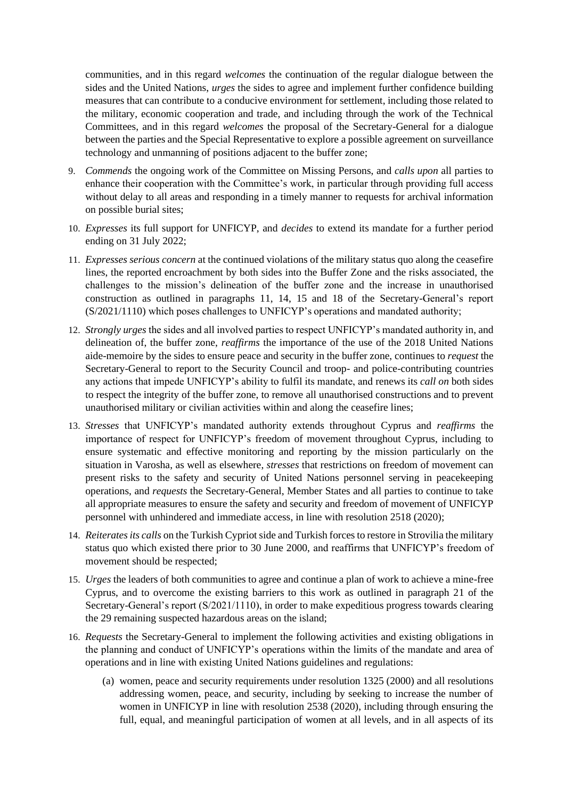communities, and in this regard *welcomes* the continuation of the regular dialogue between the sides and the United Nations, *urges* the sides to agree and implement further confidence building measures that can contribute to a conducive environment for settlement, including those related to the military, economic cooperation and trade, and including through the work of the Technical Committees, and in this regard *welcomes* the proposal of the Secretary-General for a dialogue between the parties and the Special Representative to explore a possible agreement on surveillance technology and unmanning of positions adjacent to the buffer zone;

- 9. *Commends* the ongoing work of the Committee on Missing Persons, and *calls upon* all parties to enhance their cooperation with the Committee's work, in particular through providing full access without delay to all areas and responding in a timely manner to requests for archival information on possible burial sites;
- 10. *Expresses* its full support for UNFICYP, and *decides* to extend its mandate for a further period ending on 31 July 2022;
- 11. *Expresses serious concern* at the continued violations of the military status quo along the ceasefire lines, the reported encroachment by both sides into the Buffer Zone and the risks associated, the challenges to the mission's delineation of the buffer zone and the increase in unauthorised construction as outlined in paragraphs 11, 14, 15 and 18 of the Secretary-General's report (S/2021/1110) which poses challenges to UNFICYP's operations and mandated authority;
- 12. *Strongly urges* the sides and all involved parties to respect UNFICYP's mandated authority in, and delineation of, the buffer zone, *reaffirms* the importance of the use of the 2018 United Nations aide-memoire by the sides to ensure peace and security in the buffer zone, continues to *request* the Secretary-General to report to the Security Council and troop- and police-contributing countries any actions that impede UNFICYP's ability to fulfil its mandate, and renews its *call on* both sides to respect the integrity of the buffer zone, to remove all unauthorised constructions and to prevent unauthorised military or civilian activities within and along the ceasefire lines;
- 13. *Stresses* that UNFICYP's mandated authority extends throughout Cyprus and *reaffirms* the importance of respect for UNFICYP's freedom of movement throughout Cyprus, including to ensure systematic and effective monitoring and reporting by the mission particularly on the situation in Varosha, as well as elsewhere, *stresses* that restrictions on freedom of movement can present risks to the safety and security of United Nations personnel serving in peacekeeping operations, and *requests* the Secretary-General, Member States and all parties to continue to take all appropriate measures to ensure the safety and security and freedom of movement of UNFICYP personnel with unhindered and immediate access, in line with resolution 2518 (2020);
- 14. *Reiterates its calls* on the Turkish Cypriot side and Turkish forces to restore in Strovilia the military status quo which existed there prior to 30 June 2000, and reaffirms that UNFICYP's freedom of movement should be respected;
- 15. *Urges* the leaders of both communities to agree and continue a plan of work to achieve a mine-free Cyprus, and to overcome the existing barriers to this work as outlined in paragraph 21 of the Secretary-General's report (S/2021/1110), in order to make expeditious progress towards clearing the 29 remaining suspected hazardous areas on the island;
- 16. *Requests* the Secretary-General to implement the following activities and existing obligations in the planning and conduct of UNFICYP's operations within the limits of the mandate and area of operations and in line with existing United Nations guidelines and regulations:
	- (a) women, peace and security requirements under resolution 1325 (2000) and all resolutions addressing women, peace, and security, including by seeking to increase the number of women in UNFICYP in line with resolution 2538 (2020), including through ensuring the full, equal, and meaningful participation of women at all levels, and in all aspects of its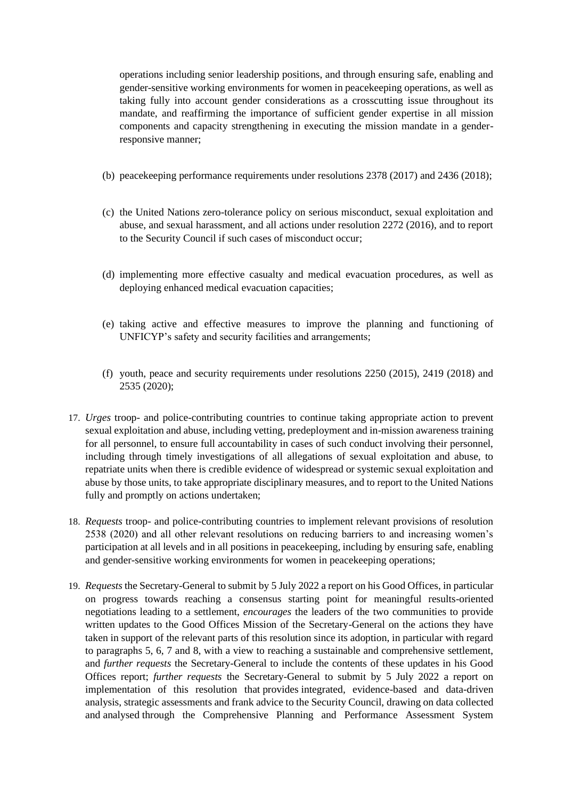operations including senior leadership positions, and through ensuring safe, enabling and gender-sensitive working environments for women in peacekeeping operations, as well as taking fully into account gender considerations as a crosscutting issue throughout its mandate, and reaffirming the importance of sufficient gender expertise in all mission components and capacity strengthening in executing the mission mandate in a genderresponsive manner;

- (b) peacekeeping performance requirements under resolutions 2378 (2017) and 2436 (2018);
- (c) the United Nations zero-tolerance policy on serious misconduct, sexual exploitation and abuse, and sexual harassment, and all actions under resolution 2272 (2016), and to report to the Security Council if such cases of misconduct occur;
- (d) implementing more effective casualty and medical evacuation procedures, as well as deploying enhanced medical evacuation capacities;
- (e) taking active and effective measures to improve the planning and functioning of UNFICYP's safety and security facilities and arrangements;
- (f) youth, peace and security requirements under resolutions 2250 (2015), 2419 (2018) and 2535 (2020);
- 17. *Urges* troop- and police-contributing countries to continue taking appropriate action to prevent sexual exploitation and abuse, including vetting, predeployment and in-mission awareness training for all personnel, to ensure full accountability in cases of such conduct involving their personnel, including through timely investigations of all allegations of sexual exploitation and abuse, to repatriate units when there is credible evidence of widespread or systemic sexual exploitation and abuse by those units, to take appropriate disciplinary measures, and to report to the United Nations fully and promptly on actions undertaken;
- 18. *Requests* troop- and police-contributing countries to implement relevant provisions of resolution 2538 (2020) and all other relevant resolutions on reducing barriers to and increasing women's participation at all levels and in all positions in peacekeeping, including by ensuring safe, enabling and gender-sensitive working environments for women in peacekeeping operations;
- 19. *Requests* the Secretary-General to submit by 5 July 2022 a report on his Good Offices, in particular on progress towards reaching a consensus starting point for meaningful results-oriented negotiations leading to a settlement, *encourages* the leaders of the two communities to provide written updates to the Good Offices Mission of the Secretary-General on the actions they have taken in support of the relevant parts of this resolution since its adoption, in particular with regard to paragraphs 5, 6, 7 and 8, with a view to reaching a sustainable and comprehensive settlement, and *further requests* the Secretary-General to include the contents of these updates in his Good Offices report; *further requests* the Secretary-General to submit by 5 July 2022 a report on implementation of this resolution that provides integrated, evidence-based and data-driven analysis, strategic assessments and frank advice to the Security Council, drawing on data collected and analysed through the Comprehensive Planning and Performance Assessment System